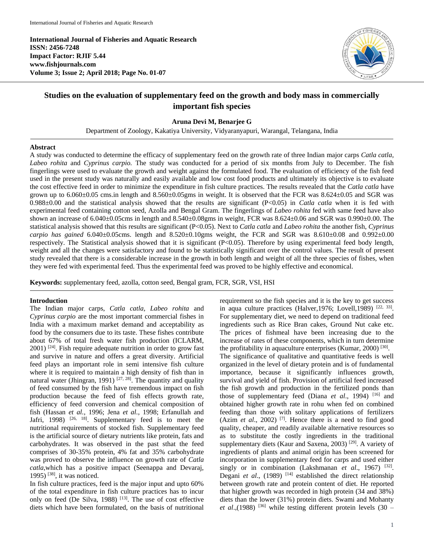**International Journal of Fisheries and Aquatic Research ISSN: 2456-7248 Impact Factor: RJIF 5.44 www.fishjournals.com Volume 3; Issue 2; April 2018; Page No. 01-07**



# **Studies on the evaluation of supplementary feed on the growth and body mass in commercially important fish species**

### **Aruna Devi M, Benarjee G**

Department of Zoology, Kakatiya University, Vidyaranyapuri, Warangal, Telangana, India

### **Abstract**

A study was conducted to determine the efficacy of supplementary feed on the growth rate of three Indian major carps *Catla catla, Labeo rohita* and *Cyprinus carpio.* The study was conducted for a period of six months from July to December. The fish fingerlings were used to evaluate the growth and weight against the formulated food. The evaluation of efficiency of the fish feed used in the present study was naturally and easily available and low cost food products and ultimately its objective is to evaluate the cost effective feed in order to minimize the expenditure in fish culture practices. The results revealed that the *Catla catla* have grown up to 6.060±0.05 cms.in length and 8.560±0.05gms in weight. It is observed that the FCR was 8.624±0.05 and SGR was 0.988±0.00 and the statistical analysis showed that the results are significant (P<0.05) in *Catla catla* when it is fed with experimental feed containing cotton seed, Azolla and Bengal Gram. The fingerlings of *Labeo rohita* fed with same feed have also shown an increase of  $6.040\pm0.05$ cms in length and  $8.540\pm0.08$ gms in weight, FCR was  $8.624\pm0.06$  and SGR was  $0.990\pm0.00$ . The statistical analysis showed that this results are significant (P<0.05). Next to *Catla catla* and *Labeo rohita* the another fish, *Cyprinus*   $carpio$  has gained  $6.040\pm0.05$ cms. length and  $8.520\pm0.10$ gms weight, the FCR and SGR was  $8.610\pm0.08$  and  $0.992\pm0.00$ respectively. The Statistical analysis showed that it is significant (P<0.05). Therefore by using experimental feed body length, weight and all the changes were satisfactory and found to be statistically significant over the control values. The result of present study revealed that there is a considerable increase in the growth in both length and weight of all the three species of fishes, when they were fed with experimental feed. Thus the experimental feed was proved to be highly effective and economical.

**Keywords:** supplementary feed, azolla, cotton seed, Bengal gram, FCR, SGR, VSI, HSI

### **Introduction**

The Indian major carps, *Catla catla, Labeo rohita* and *Cyprinus carpio* are the most important commercial fishes in India with a maximum market demand and acceptability as food by the consumers due to its taste. These fishes contribute about 67% of total fresh water fish production (ICLARM,  $2001$ ) <sup>[24]</sup>. Fish require adequate nutrition in order to grow fast and survive in nature and offers a great diversity. Artificial feed plays an important role in semi intensive fish culture where it is required to maintain a high density of fish than in natural water (Jhingran, 1991)<sup>[27, 28]</sup>. The quantity and quality of feed consumed by the fish have tremendous impact on fish production because the feed of fish effects growth rate, efficiency of feed conversion and chemical composition of fish (Hassan *et al.,* 1996; Jena *et al.,* 1998; Erfanullah and Jafri, 1998)  $[26, 18]$ . Supplementary feed is to meet the nutritional requirements of stocked fish. Supplementary feed is the artificial source of dietary nutrients like protein, fats and carbohydrates. It was observed in the past sthat the feed comprises of 30-35% protein, 4% fat and 35% carbohydrate was proved to observe the influence on growth rate of *Catla catla*,which has a positive impact (Seenappa and Devaraj, 1995) [38] , it was noticed.

In fish culture practices, feed is the major input and upto 60% of the total expenditure in fish culture practices has to incur only on feed (De Silva, 1988)  $[13]$ . The use of cost effective diets which have been formulated, on the basis of nutritional

requirement so the fish species and it is the key to get success in aqua culture practices (Halver, 1976; Lovell, 1989)  $[22, 33]$ . For supplementary diet, we need to depend on traditional feed ingredients such as Rice Bran cakes, Ground Nut cake etc. The prices of fishmeal have been increasing due to the increase of rates of these components, which in turn determine the profitability in aquaculture enterprises (Kumar, 2000)<sup>[30]</sup>. The significance of qualitative and quantitative feeds is well organized in the level of dietary protein and is of fundamental importance, because it significantly influences growth, survival and yield of fish. Provision of artificial feed increased the fish growth and production in the fertilized ponds than those of supplementary feed (Diana et al., 1994)<sup>[16]</sup> and obtained higher growth rate in rohu when fed on combined feeding than those with solitary applications of fertilizers  $(Azim et al., 2002)$ <sup>[7]</sup>. Hence there is a need to find good quality, cheaper, and readily available alternative resources so as to substitute the costly ingredients in the traditional supplementary diets (Kaur and Saxena, 2003)<sup>[29]</sup>. A variety of ingredients of plants and animal origin has been screened for incorporation in supplementary feed for carps and used either singly or in combination (Lakshmanan *et al.*, 1967) <sup>[32]</sup>. Degani *et al.*, (1989)<sup>[14]</sup> established the direct relationship between growth rate and protein content of diet. He reported that higher growth was recorded in high protein (34 and 38%) diets than the lower (31%) protein diets. Swami and Mohanty *et al.*,(1988)<sup>[36]</sup> while testing different protein levels  $(30 -$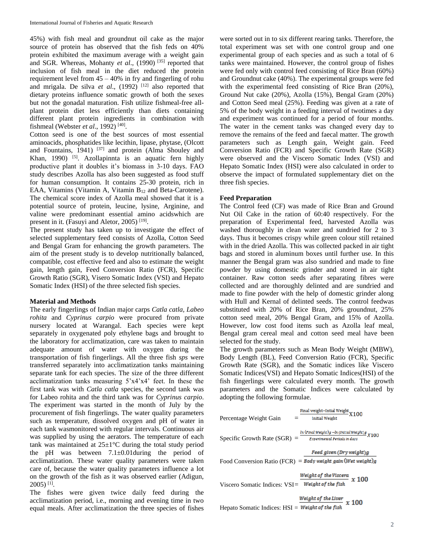45%) with fish meal and groundnut oil cake as the major source of protein has observed that the fish feds on 40% protein exhibited the maximum average with a weight gain and SGR. Whereas, Mohanty *et al.*, (1990)<sup>[35]</sup> reported that inclusion of fish meal in the diet reduced the protein requirement level from  $45 - 40\%$  in fry and fingerling of rohu and mrigala. De silva et al., (1992)<sup>[12]</sup> also reported that dietary proteins influence somatic growth of both the sexes but not the gonadal maturation. Fish utilize fishmeal-free allplant protein diet less efficiently than diets containing different plant protein ingredients in combination with fishmeal (Webster *et al.*, 1992)<sup>[40]</sup>.

Cotton seed is one of the best sources of most essential aminoacids, phosphatides like lecithin, lipase, phytase, (Olcott and Fountains, 1941)<sup>[37]</sup> and protein (Alma Shouley and Khan, 1990) <sup>[5]</sup>. Azollapinnta is an aquatic fern highly productive plant it doubles it's biomass in 3-10 days. FAO study describes Azolla has also been suggested as food stuff for human consumption. It contains 25-30 protein, rich in EAA, Vitamins (Vitamin A, Vitamin B<sub>12</sub> and Beta-Carotene). The chemical score index of Azolla meal showed that it is a potential source of protein, leucine, lysine, Arginine, and valine were predominant essential amino acidswhich are present in it. (Fasuyi and Aletor, 2005)<sup>[19]</sup>.

The present study has taken up to investigate the effect of selected supplementary feed consists of Azolla, Cotton Seed and Bengal Gram for enhancing the growth parameters. The aim of the present study is to develop nutritionally balanced, compatible, cost effective feed and also to estimate the weight gain, length gain, Feed Conversion Ratio (FCR), Specific Growth Ratio (SGR), Visero Somatic Index (VSI) and Hepato Somatic Index (HSI) of the three selected fish species.

# **Material and Methods**

The early fingerlings of Indian major carps *Catla catla, Labeo rohita* and *Cyprinus carpio* were procured from private nursery located at Warangal. Each species were kept separately in oxygenated poly ethylene bags and brought to the laboratory for acclimatization, care was taken to maintain adequate amount of water with oxygen during the transportation of fish fingerlings. All the three fish *sps* were transferred separately into acclimatization tanks maintaining separate tank for each species. The size of the three different acclimatization tanks measuring 5'x4'x4' feet. In these the first tank was with *Catla catla* species, the second tank was for Labeo rohita and the third tank was for *Cyprinus carpio*. The experiment was started in the month of July by the procurement of fish fingerlings. The water quality parameters such as temperature, dissolved oxygen and pH of water in each tank wasmonitored with regular intervals. Continuous air was supplied by using the aerators. The temperature of each tank was maintained at  $25\pm1\degree C$  during the total study period the pH was between  $7.1 \pm 0.01$  during the period of acclimatization. These water quality parameters were taken care of, because the water quality parameters influence a lot on the growth of the fish as it was observed earlier (Adigun, 2005) [1] .

The fishes were given twice daily feed during the acclimatization period, i.e., morning and evening time in two equal meals. After acclimatization the three species of fishes

were sorted out in to six different rearing tanks. Therefore, the total experiment was set with one control group and one experimental group of each species and as such a total of 6 tanks were maintained. However, the control group of fishes were fed only with control feed consisting of Rice Bran (60%) and Groundnut cake (40%). The experimental groups were fed with the experimental feed consisting of Rice Bran (20%), Ground Nut cake (20%), Azolla (15%), Bengal Gram (20%) and Cotton Seed meal (25%). Feeding was given at a rate of 5% of the body weight in a feeding interval of twotimes a day and experiment was continued for a period of four months. The water in the cement tanks was changed every day to remove the remains of the feed and faecal matter. The growth parameters such as Length gain, Weight gain. Feed Conversion Ratio (FCR) and Specific Growth Rate (SGR) were observed and the Viscero Somatic Index (VSI) and Hepato Somatic Index (HSI) were also calculated in order to observe the impact of formulated supplementary diet on the three fish species.

## **Feed Preparation**

The Control feed (CF) was made of Rice Bran and Ground Nut Oil Cake in the ration of 60:40 respectively. For the preparation of Experimental feed, harvested Azolla was washed thoroughly in clean water and sundried for 2 to 3 days. Thus it becomes crispy while green colour still retained with in the dried Azolla. This was collected packed in air tight bags and stored in aluminum boxes until further use. In this manner the Bengal gram was also sundried and made to fine powder by using domestic grinder and stored in air tight container. Raw cotton seeds after separating fibres were collected and are thoroughly delinted and are sundried and made to fine powder with the help of domestic grinder along with Hull and Kernal of delinted seeds. The control feedwas substituted with 20% of Rice Bran, 20% groundnut, 25% cotton seed meal, 20% Bengal Gram, and 15% of Azolla. However, low cost food items such as Azolla leaf meal, Bengal gram cereal meal and cotton seed meal have been selected for the study.

The growth parameters such as Mean Body Weight (MBW), Body Length (BL), Feed Conversion Ratio (FCR), Specific Growth Rate (SGR), and the Somatic indices like Viscero Somatic Indices(VSI) and Hepato Somatic Indices(HSI) of the fish fingerlings were calculated every month. The growth parameters and the Somatic Indices were calculated by adopting the following formulae.

| Final weight-Intial Weight X100                                                                                      |
|----------------------------------------------------------------------------------------------------------------------|
| <b>Initial Weight</b>                                                                                                |
| In (Final Weight)g $-\ln$ (Initial Weight)g $X100$<br>Specific Growth Rate $(SGR)$ =<br>Experimental Periods in days |
| Feed given (Dry weight)g                                                                                             |
| Food Conversion Ratio (FCR) = Body weight gain (Wet weight)g                                                         |
| Weight of the Viscera<br>Weight of the fish $x$ 100                                                                  |
|                                                                                                                      |
| Viscero Somatic Indices: $VSI =$                                                                                     |

Hepato Somatic Indices: HSI =  $\frac{Weight \ of \ the \ Liver}{Weight \ of \ the \ fish} \ x \ 100$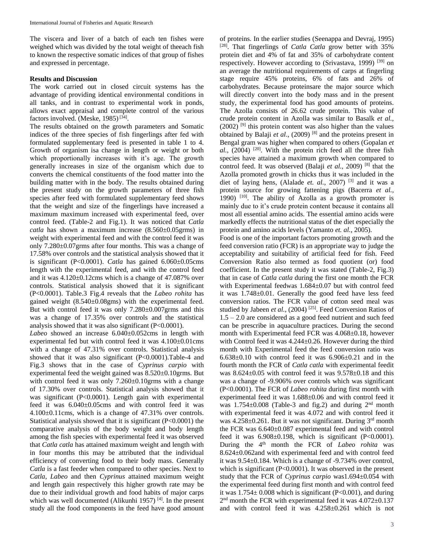The viscera and liver of a batch of each ten fishes were weighed which was divided by the total weight of theeach fish to known the respective somatic indices of that group of fishes and expressed in percentage.

#### **Results and Discussion**

The work carried out in closed circuit systems has the advantage of providing identical environmental conditions in all tanks, and in contrast to experimental work in ponds, allows exact appraisal and complete control of the various factors involved. (Meske, 1985)<sup>[34]</sup>.

The results obtained on the growth parameters and Somatic indices of the three species of fish fingerlings after fed with formulated supplementary feed is presented in table 1 to 4. Growth of organism isa change in length or weight or both which proportionally increases with it's age. The growth generally increases in size of the organism which due to converts the chemical constituents of the food matter into the building matter with in the body. The results obtained during the present study on the growth parameters of three fish species after feed with formulated supplementary feed shows that the weight and size of the fingerlings have increased a maximum maximum increased with experimental feed, over control feed. (Table-2 and Fig.1). It was noticed that *Catla catla* has shown a maximum increase (8.560±0.05grms) in weight with experimental feed and with the control feed it was only 7.280±0.07grms after four months. This was a change of 17.58% over controls and the statistical analysis showed that it is significant (P<0.0001). *Catla* has gained 6.060±0.05cms length with the experimental feed, and with the control feed and it was 4.120±0.12cms which is a change of 47.087% over controls. Statistical analysis showed that it is significant (P<0.0001). Table.3 Fig.4 reveals that the *Labeo rohita* has gained weight (8.540±0.08gms) with the experimental feed. But with control feed it was only 7.280±0.007grms and this was a change of 17.35% over controls and the statistical analysis showed that it was also significant (P<0.0001).

*Labeo* showed an increase 6.040±0.052cms in length with experimental fed but with control feed it was 4.100±0.01cms with a change of 47.31% over controls. Statistical analysis showed that it was also significant (P<0.0001).Table-4 and Fig.3 shows that in the case of *Cyprinus carpio* with experimental feed the weight gained was 8.520±0.10grms. But with control feed it was only 7.260 $\pm$ 0.10grms with a change of 17.30% over controls. Statistical analysis showed that it was significant (P<0.0001). Length gain with experimental feed it was 6.040±0.05cms and with control feed it was 4.100±0.11cms, which is a change of 47.31% over controls. Statistical analysis showed that it is significant (P<0.0001) the comparative analysis of the body weight and body length among the fish species with experimental feed it was observed that *Catla catla* has attained maximum weight and length with in four months this may be attributed that the individual efficiency of converting food to their body mass. Generally *Catla* is a fast feeder when compared to other species. Next to *Catla*, *Labeo* and then *Cyprinus* attained maximum weight and length gain respectively this higher growth rate may be due to their individual growth and food habits of major carps which was well documented (Alikunhi 1957)<sup>[4]</sup>. In the present study all the food components in the feed have good amount of proteins. In the earlier studies (Seenappa and Devraj, 1995) [28]. That fingerlings of *Catla Catla* grow better with 35% protein diet and 4% of fat and 35% of carbohydrate content respectively. However according to (Srivastava, 1999)<sup>[39]</sup> on an average the nutritional requirements of carps at fingerling stage require 45% proteins, 6% of fats and 26% of carbohydrates. Because proteinsare the major source which will directly convert into the body mass and in the present study, the experimental food has good amounts of proteins. The Azolla consists of 26.62 crude protein. This value of crude protein content in Azolla was similar to Basalk *et al.,*  $(2002)$ <sup>[9]</sup> this protein content was also higher than the values obtained by Balaji et al., (2009)<sup>[8]</sup> and the proteins present in Bengal gram was higher when compared to others (Gopalan *et*  $al$ ,  $(2004)$  <sup>[20]</sup>. With the protein rich feed all the three fish species have attained a maximum growth when compared to control feed. It was observed (Balaji *et al.*, 2009)<sup>[8]</sup> that the Azolla promoted growth in chicks thus it was included in the diet of laying hens, (Alalade *et. al.*, 2007)<sup>[3]</sup> and it was a protein source for growing fattening pigs (Bacerra *et al.,* 1990) <sup>[10]</sup>. The ability of Azolla as a growth promoter is mainly due to it's crude protein content because it contains all most all essential amino acids. The essential amino acids were markedly effects the nutritional status of the diet especially the protein and amino acids levels (Yamanto *et. al.,* 2005).

Food is one of the important factors promoting growth and the feed conversion ratio (FCR) is an appropriate way to judge the acceptability and suitability of artificial feed for fish. Feed Conversion Ratio also termed as food quotient (or) food coefficient. In the present study it was stated (Table-2, Fig.3) that in case of *Catla catla* during the first one month the FCR with Experimental feedwas 1.684±0.07 but with control feed it was 1.748±0.01. Generally the good feed have less feed conversion ratios. The FCR value of cotton seed meal was studied by Jabeen *et al.*, (2004)<sup>[25]</sup>. Feed Conversion Ratios of 1.5 – 2.0 are considered as a good feed nutrient and such feed can be prescribe in aquaculture practices. During the second month with Experimental feed FCR was 4.068±0.18, however with Control feed it was  $4.244 \pm 0.26$ . However during the third month with Experimental feed the feed conversion ratio was  $6.638\pm0.10$  with control feed it was  $6.906\pm0.21$  and in the fourth month the FCR of *Catla catla* with experimental feedit was 8.624±0.05 with control feed it was 9.578±0.18 and this was a change of -9.906% over controls which was significant (P<0.0001). The FCR of *Labeo rohita* during first month with experimental feed it was 1.688±0.06 and with control feed it was  $1.754 \pm 0.008$  (Table-3 and fig.2) and during  $2<sup>nd</sup>$  month with experimental feed it was 4.072 and with control feed it was  $4.258\pm0.261$ . But it was not significant. During  $3<sup>rd</sup>$  month the FCR was 6.640±0.087 experimental feed and with control feed it was  $6.908\pm0.198$ , which is significant (P<0.0001). During the 4<sup>th</sup> month the FCR of *Labeo rohita* was 8.624±0.062and with experimental feed and with control feed it was 9.54±0.184. Which is a change of -9.734% over control, which is significant (P<0.0001). It was observed in the present study that the FCR of *Cyprinus carpio* was1.694±0.054 with the experimental feed during first month and with control feed it was  $1.754 \pm 0.008$  which is significant (P<0.001), and during 2<sup>nd</sup> month the FCR with experimental feed it was 4.072±0.137 and with control feed it was 4.258±0.261 which is not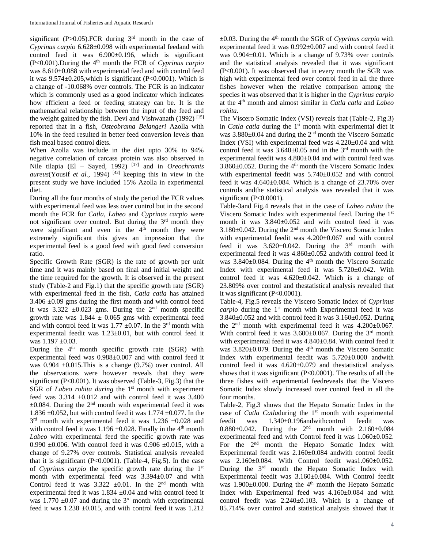significant (P>0.05).FCR during  $3<sup>rd</sup>$  month in the case of *Cyprinus carpio* 6.628±0.098 with experimental feedand with control feed it was  $6.900 \pm 0.196$ , which is significant (P<0.001).During the 4th month the FCR of *Cyprinus carpio* was 8.610±0.088 with experimental feed and with control feed it was  $9.574 \pm 0.205$ , which is significant (P<0.0001). Which is a change of -10.068% over controls. The FCR is an indicator which is commonly used as a good indicator which indicates how efficient a feed or feeding strategy can be. It is the mathematical relationship between the input of the feed and the weight gained by the fish. Devi and Vishwanath (1992)  $^{[15]}$ reported that in a fish, *Osteobrama Belangeri* Azolla with 10% in the feed resulted in better feed conversion levels than fish meal based control diets.

When Azolla was include in the diet upto 30% to 94% negative correlation of carcass protein was also observed in Nile tilapia (El – Sayed, 1992) [17] and in *Oreochromis aureus*(Yousif *et al.,* 1994) [42] keeping this in view in the present study we have included 15% Azolla in experimental diet.

During all the four months of study the period the FCR values with experimental feed was less over control but in the second month the FCR for *Catla*, *Labeo* and *Cyprinus carpio* were not significant over control. But during the 3rd month they were significant and even in the  $4<sup>th</sup>$  month they were extremely significant this gives an impression that the experimental feed is a good feed with good feed conversion ratio.

Specific Growth Rate (SGR) is the rate of growth per unit time and it was mainly based on final and initial weight and the time required for the growth. It is observed in the present study (Table-2 and Fig.1) that the specific growth rate (SGR) with experimental feed in the fish, *Catla catla* has attained  $3.406 \pm 0.09$  gms during the first month and with control feed it was  $3.322 \pm 0.023$  gms. During the 2<sup>nd</sup> month specific growth rate was  $1.844 \pm 0.065$  gms with experimental feed and with control feed it was 1.77  $\pm 0.07$ . In the 3<sup>rd</sup> month with experimental feedit was 1.23±0.01, but with control feed it was 1.197 ±0.03.

During the  $4<sup>th</sup>$  month specific growth rate (SGR) with experimental feed was 0.988±0.007 and with control feed it was  $0.904 \pm 0.015$ . This is a change  $(9.7%)$  over control. All the observations were however reveals that they were significant (P<0.001). It was observed (Table-3, Fig.3) that the SGR of *Labeo rohita during* the 1<sup>st</sup> month with experiment feed was  $3.314 \pm 0.012$  and with control feed it was  $3.400$  $\pm 0.084$ . During the 2<sup>nd</sup> month with experimental feed it was 1.836  $\pm$ 0.052, but with control feed it was 1.774  $\pm$ 0.077. In the  $3<sup>rd</sup>$  month with experimental feed it was 1.236  $\pm 0.028$  and with control feed it was 1.196  $\pm$ 0.028. Finally in the 4<sup>th</sup> month *Labeo* with experimental feed the specific growth rate was 0.990  $\pm$ 0.006. With control feed it was 0.906  $\pm$ 0.015, with a change of 9.27% over controls. Statistical analysis revealed that it is significant (P<0.0001). (Table-4, Fig.5). In the case of *Cyprinus carpio* the specific growth rate during the 1st month with experimental feed was 3.394±0.07 and with Control feed it was  $3.322 \pm 0.01$ . In the 2<sup>nd</sup> month with experimental feed it was 1.834 ±0.04 and with control feed it was 1.770  $\pm$ 0.07 and during the 3<sup>rd</sup> month with experimental feed it was  $1.238 \pm 0.015$ , and with control feed it was  $1.212$ 

±0.03. During the 4th month the SGR of *Cyprinus carpio* with experimental feed it was 0.992±0.007 and with control feed it was 0.904±0.01. Which is a change of 9.73% over controls and the statistical analysis revealed that it was significant (P<0.001). It was observed that in every month the SGR was high with experimental feed over control feed in all the three fishes however when the relative comparison among the species it was observed that it is higher in the *Cyprinus carpio*  at the 4th month and almost similar in *Catla catla* and *Labeo rohita*.

The Viscero Somatic Index (VSI) reveals that (Table-2, Fig.3) in *Catla catla* during the 1<sup>st</sup> month with experimental diet it was  $3.880\pm0.04$  and during the 2<sup>nd</sup> month the Viscero Somatic Index (VSI) with experimental feed was 4.220±0.04 and with control feed it was  $3.640 \pm 0.05$  and in the  $3<sup>rd</sup>$  month with the experimental feedit was 4.880±0.04 and with control feed was 3.860 $\pm$ 0.052. During the 4<sup>th</sup> month the Viscero Somatic Index with experimental feedit was 5.740±0.052 and with control feed it was 4.640±0.084. Which is a change of 23.70% over controls andthe statistical analysis was revealed that it was significant (P<0.0001).

Table-3and Fig.4 reveals that in the case of *Labeo rohita* the Viscero Somatic Index with experimental feed. During the 1<sup>st</sup> month it was 3.840±0.052 and with control feed it was  $3.180\pm0.042$ . During the  $2<sup>nd</sup>$  month the Viscero Somatic Index with experimental feedit was 4.200±0.067 and with control feed it was  $3.620 \pm 0.042$ . During the  $3<sup>rd</sup>$  month with experimental feed it was 4.860±0.052 andwith control feed it was  $3.840\pm0.084$ . During the  $4<sup>th</sup>$  month the Viscero Somatic Index with experimental feed it was 5.720±0.042. With control feed it was 4.620±0.042. Which is a change of 23.809% over control and thestatistical analysis revealed that it was significant (P<0.0001).

Table-4, Fig.5 reveals the Viscero Somatic Index of *Cyprinus carpio* during the 1<sup>st</sup> month with Experimental feed it was 3.840±0.052 and with control feed it was 3.160±0.052. During the  $2<sup>nd</sup>$  month with experimental feed it was  $4.200 \pm 0.067$ . With control feed it was  $3.600 \pm 0.067$ . During the 3<sup>rd</sup> month with experimental feed it was 4.840±0.84. With control feed it was  $3.820\pm0.079$ . During the  $4<sup>th</sup>$  month the Viscero Somatic Index with experimental feedit was 5.720±0.000 andwith control feed it was 4.620±0.079 and thestatistical analysis shows that it was significant (P<0.0001). The results of all the three fishes with experimental feedreveals that the Viscero Somatic Index slowly increased over control feed in all the four months.

Table-2, Fig.3 shows that the Hepato Somatic Index in the case of *Catla Catla*during the 1<sup>st</sup> month with experimental feedit was 1.340±0.196andwithcontrol feedit was feedit was 1.340±0.196andwithcontrol feedit was 0.880 $\pm$ 0.042. During the  $2^{nd}$  month with  $2.160\pm0.084$ experimental feed and with Control feed it was 1.060±0.052. For the  $2<sup>nd</sup>$  month the Hepato Somatic Index with Experimental feedit was 2.160±0.084 andwith control feedit was 2.160±0.084. With Control feedit was1.060±0.052. During the 3rd month the Hepato Somatic Index with Experimental feedit was 3.160±0.084. With Control feedit was  $1.900\pm0.000$ . During the  $4<sup>th</sup>$  month the Hepato Somatic Index with Experimental feed was 4.160±0.084 and with control feedit was 2.240±0.103. Which is a change of 85.714% over control and statistical analysis showed that it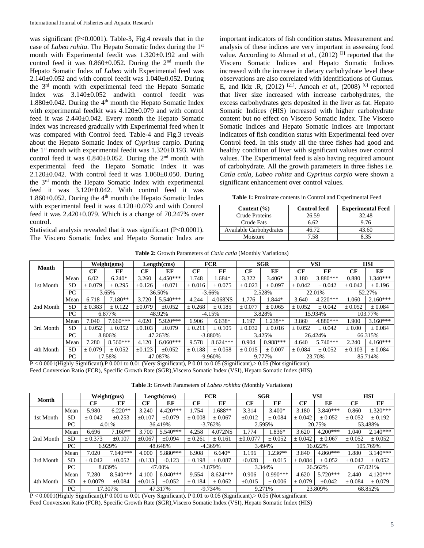was significant (P<0.0001). Table-3, Fig.4 reveals that in the case of *Labeo rohita*. The Hepato Somatic Index during the 1st month with Experimental feedit was 1.320±0.192 and with control feed it was  $0.860 \pm 0.052$ . During the  $2<sup>nd</sup>$  month the Hepato Somatic Index of *Labeo* with Experimental feed was  $2.140\pm0.052$  and with control feedit was  $1.040\pm0.052$ . During the 3rd month with experimental feed the Hepato Somatic Index was  $3.140 \pm 0.052$  andwith control feedit was 1.880 $\pm$ 0.042. During the 4<sup>th</sup> month the Hepato Somatic Index with experimental feedkit was 4.120±0.079 and with control feed it was 2.440±0.042. Every month the Hepato Somatic Index was increased gradually with Experimental feed when it was compared with Control feed. Table-4 and Fig.3 reveals about the Hepato Somatic Index of *Cyprinus* carpio. During the  $1<sup>st</sup>$  month with experimental feedit was  $1.320 \pm 0.193$ . With control feed it was  $0.840 \pm 0.052$ . During the  $2<sup>nd</sup>$  month with experimental feed the Hepato Somatic Index it was 2.120±0.042. With control feed it was 1.060±0.050. During the 3rd month the Hepato Somatic Index with experimental feed it was 3.120±0.042. With control feed it was 1.860 $\pm$ 0.052. During the 4<sup>th</sup> month the Hepato Somatic Index with experimental feed it was 4.120±0.079 and with Control feed it was  $2.420 \pm 0.079$ . Which is a change of  $70.247\%$  over control.

Statistical analysis revealed that it was significant (P<0.0001). The Viscero Somatic Index and Hepato Somatic Index are

important indicators of fish condition status. Measurement and analysis of these indices are very important in assessing food value. According to Ahmad *et al.*, (2012)<sup>[2]</sup> reported that the Viscero Somatic Indices and Hepato Somatic Indices increased with the increase in dietary carbohydrate level these observations are also correlated with identifications of Gumus. E, and Ikiz .R, (2012) [21] . Amoah *et al.,* (2008) [6] reported that liver size increased with increase carbohydrates, the excess carbohydrates gets deposited in the liver as fat. Hepato Somatic Indices (HIS) increased with higher carbohydrate content but no effect on Viscero Somatic Index. The Viscero Somatic Indices and Hepato Somatic Indices are important indicators of fish condition status with Experimental feed over Control feed. In this study all the three fishes had good and healthy condition of liver with significant values over control values. The Experimental feed is also having required amount of carbohydrate. All the growth parameters in three fishes i.e. *Catla catla, Labeo rohita* and *Cyprinus carpio* were shown a significant enhancement over control values.

**Table 1:** Proximate contents in Control and Experimental Feed

| Content $(\% )$         | <b>Control feed</b> | <b>Experimental Feed</b> |
|-------------------------|---------------------|--------------------------|
| Crude Proteins          | 26.59               | 32.48                    |
| Crude Fats              | 6.62                | 9.76                     |
| Available Carbohydrates | 46.72               | 43.60                    |
| Moisture                | 7.58                | 835                      |

| Month     |           | Weight(gms) |            | Length(cms) |             | <b>FCR</b>  |            | <b>SGR</b>  |             | <b>VSI</b> |            | <b>HSI</b>  |            |
|-----------|-----------|-------------|------------|-------------|-------------|-------------|------------|-------------|-------------|------------|------------|-------------|------------|
|           |           | CF          | EF         | CF          | EF          | CF          | EF         | CF          | EF          | CF         | EF         | CF          | EF         |
|           | Mean      | 6.02        | $6.240*$   | 3.260       | $4.450***$  | 1.748       | 1.684*     | 3.322       | $3.406*$    | 3.180      | $3.880***$ | 0.880       | $1.340***$ |
| 1st Month | SD        | ± 0.079     | ± 0.295    | $\pm 0.126$ | $\pm 0.071$ | ± 0.016     | ± 0.075    | ± 0.023     | ± 0.097     | ± 0.042    | ± 0.042    | ± 0.042     | ± 0.196    |
|           | PC        | 3.65%       |            | 36.50%      |             | $-3.66\%$   |            | 2.528%      |             | 22.01%     |            | 52.27%      |            |
| 2nd Month | Mean      | 6.718       | $7.180**$  | 3.720       | $5.540***$  | 4.244       | 4.068NS    | l.776       | $.844*$     | 3.640      | $4.220***$ | l.060       | $2.160***$ |
|           | <b>SD</b> | ± 0.383     | ± 0.122    | $\pm 0.079$ | $\pm 0.052$ | ± 0.268     | ± 0.185    | ± 0.077     | ± 0.065     | ± 0.052    | ± 0.042    | ± 0.052     | ± 0.084    |
|           | PC        | 6.877%      |            | 48.92%      |             | $-4.15%$    |            | 3.828%      |             | 15.934%    |            | 103.77%     |            |
|           | Mean      | 7.040       | $7.660***$ | 4.020       | $5.920***$  | 6.906       | $6.638*$   | l.197       | $1.238**$   | 3.860      | 4.880***   | 1.900       | $3.160***$ |
| 3rd Month | <b>SD</b> | ± 0.052     | ± 0.052    | $\pm 0.103$ | $\pm 0.079$ | ± 0.211     | ± 0.105    | ± 0.032     | ± 0.016     | ± 0.052    | ± 0.042    | $\pm 0.00$  | ± 0.084    |
|           | PC        | 8.806%      |            | 47.263%     |             | $-3.880%$   |            | 3.425%      |             | 26.424%    |            | 66.315%     |            |
|           | Mean      | 7.280       | $8.560***$ | 4.120       | $6.060***$  | 9.578       | $8.624***$ | 0.904       | $0.988***$  | 4.640      | $5.740***$ | 2.240       | $4.160***$ |
| 4th Month | SD        | ± 0.079     | ± 0.052    | $\pm 0.123$ | $\pm 0.052$ | $\pm 0.188$ | ± 0.058    | $\pm 0.015$ | $\pm 0.007$ | ± 0.084    | ± 0.052    | $\pm 0.103$ | ± 0.084    |
|           | PC.       | 17.58%      |            |             | 47.087%     | $-9.960\%$  |            | 9.777%      |             | 23.70%     |            | 85.714%     |            |

**Table 2:** Growth Parameters of *Catla catla* (Monthly Variations)

P < 0.0001(Highly Significant),P 0.001 to 0.01 (Very Significant), P 0.01 to 0.05 (Significant),> 0.05 (Not significant) Feed Conversion Ratio (FCR), Specific Growth Rate (SGR),Viscero Somatic Index (VSI), Hepato Somatic Index (HIS)

**Table 3:** Growth Parameters of *Labeo rohitha* (Monthly Variations)

| Month     |           | Weight(gms) |             | Length(cms) |             | <b>FCR</b> |            | <b>SGR</b>    |            | <b>VSI</b>  |             | <b>HSI</b> |             |
|-----------|-----------|-------------|-------------|-------------|-------------|------------|------------|---------------|------------|-------------|-------------|------------|-------------|
|           |           | СF          | EF          | CF          | EF          | CF         | EF         | CF            | EF         | CF          | EF          | CF         | EF          |
|           | Mean      | 5.980       | $6.220**$   | 3.240       | $4.420***$  | 1.754      | 1.688**    | 3.314         | $3.400*$   | 3.180       | $3.840***$  | 0.860      | $1.320***$  |
| 1st Month | <b>SD</b> | ± 0.042     | $\pm 0.253$ | $\pm 0.107$ | ±0.079      | ± 0.008    | ± 0.067    | $\pm 0.012$   | ± 0.084    | ± 0.042     | ± 0.052     | ± 0.052    | ± 0.192     |
|           | PC        | 4.01%       |             | 36.419%     |             | $-3.762%$  |            | 2.595%        |            | 20.75%      |             | 53.488%    |             |
|           | Mean      | 6.696       | $7.160**$   | 3.700       | $5.540***$  | 4.258      | 4.072NS    | 1.774         | 1.836*     | 3.620       | $4.200***$  | .040       | $2.140***$  |
| 2nd Month | <b>SD</b> | ± 0.373     | ±0.107      | $\pm 0.067$ | ±0.094      | ± 0.261    | ± 0.161    | $\pm 0.0.077$ | ± 0.052    | ± 0.042     | ± 0.067     | ± 0.052    | ± 0.052     |
|           | PC        | 6.929%      |             | 48.648%     |             | $-4.369%$  |            | 3.494%        |            | 16.022%     |             | 105.769%   |             |
|           | Mean      | 7.020       | $7.640***$  | 4.000       | $5.880***$  | 6.908      | $6.640*$   | 1.196         | $1.236**$  | 3.840       | $4.860***$  | .880       | $3.140***$  |
| 3rd Month | <b>SD</b> | ± 0.042     | ±0.052      | $\pm 0.133$ | $\pm 0.123$ | ± 0.198    | ± 0.087    | $\pm 0.028$   | ± 0.015    | $\pm 0.084$ | ± 0.052     | ± 0.042    | ± 0.052     |
|           | PC        | 8.839%      |             | 47.00%      |             | $-3.879%$  |            | 3.344%        |            | 26.562%     |             | 67.021%    |             |
|           | Mean      | 7.280       | $8.540***$  | 4.100       | $6.040***$  | 9.554      | $8.624***$ | 0.906         | $0.990***$ | 4.620       | $5.720***$  | 2.440      | $4.120***$  |
| 4th Month | <b>SD</b> | ± 0.0079    | $\pm 0.084$ | $\pm 0.015$ | $\pm 0.052$ | ± 0.184    | ± 0.062    | $\pm 0.015$   | ± 0.006    | $\pm 0.079$ | $\pm 0.042$ | ± 0.084    | $\pm 0.079$ |
|           | PC        | 17.307%     |             | 47.317%     |             | $-9.734%$  |            | 9.271%        |            | 23.809%     |             | 68.852%    |             |

P < 0.0001(Highly Significant),P 0.001 to 0.01 (Very Significant), P 0.01 to 0.05 (Significant),> 0.05 (Not significant Feed Conversion Ratio (FCR), Specific Growth Rate (SGR),Viscero Somatic Index (VSI), Hepato Somatic Index (HIS)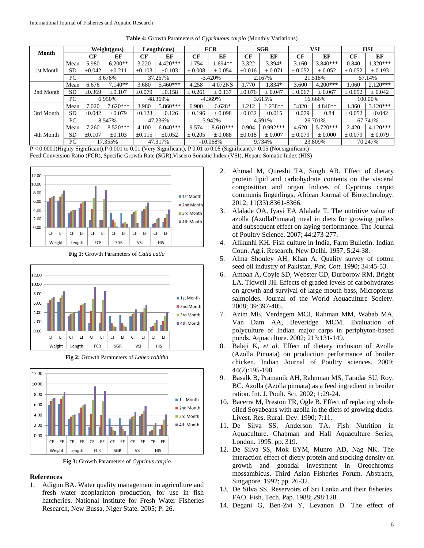| Month                  |           | Weight(gms) |             | Length(cms) |             | <b>FCR</b> |             | <b>SGR</b>  |             | <b>VSI</b>  |             | <b>HSI</b>  |             |
|------------------------|-----------|-------------|-------------|-------------|-------------|------------|-------------|-------------|-------------|-------------|-------------|-------------|-------------|
|                        |           | CF          | EF          | CF          | EF          | CF         | EF          | CF          | EF          | CF          | EF          | CF          | EF          |
| 1st Month<br>2nd Month | Mean      | 5.980       | $6.200**$   | 3.220       | $4.420***$  | 1.754      | $1.694**$   | 3.322       | 3.394*      | 3.160       | $3.840***$  | 0.840       | $1.320***$  |
|                        | <b>SD</b> | $\pm 0.042$ | $\pm 0.211$ | ±0.103      | $\pm 0.103$ | ± 0.008    | ± 0.054     | $\pm 0.016$ | $+0.071$    | ± 0.052     | ± 0.052     | ± 0.052     | ± 0.193     |
|                        | PC        | 3.678%      |             | 37.267%     |             | $-3.420%$  |             | 2.167%      |             | 21.518%     |             | 57.14%      |             |
|                        | Mean      | 6.676       | $7.140**$   | 3.680       | $5.460***$  | 4.258      | 4.072NS     | 1.770       | 1.834*      | 3.600       | $4.200***$  | 1.060       | $2.120***$  |
|                        | <b>SD</b> | ±0.369      | $+0.107$    | ±0.079      | $\pm 0.158$ | ± 0.261    | ± 0.137     | $+0.076$    | $+0.047$    | ± 0.067     | ± 0.067     | ± 0.052     | ± 0.042     |
|                        | PC        | 6.950%      |             | 48.369%     |             | $-4.369%$  |             | 3.615%      |             | 16.666%     |             | 100.00%     |             |
|                        | Mean      | 7.020       | $7.620***$  | 3.980       | $5.860***$  | 6.900      | $6.628*$    | .212        | $.238**$    | 3.820       | $4.840**$   | 1.860       | $3.120***$  |
| 3rd Month              | <b>SD</b> | $\pm 0.042$ | $+0.079$    | $\pm 0.123$ | $\pm 0.126$ | ± 0.196    | $+0.098$    | $\pm 0.032$ | $\pm 0.015$ | $\pm 0.079$ | $\pm 0.84$  | $\pm 0.052$ | $\pm 0.042$ |
|                        | PC        | 8.547%      |             | 47.236%     |             | $-3.942%$  |             | 4.591%      |             | 26.701%     |             | 67.741%     |             |
|                        | Mean      | 7.260       | $8.520***$  | 4.100       | $6.040***$  | 9.574      | $8.610***$  | 0.904       | $0.992***$  | 4.620       | $5.720***$  | 2.420       | $4.120***$  |
| 4th Month              | <b>SD</b> | $\pm 0.107$ | ±0.103      | $\pm 0.115$ | $\pm 0.052$ | ± 0.205    | $\pm 0.088$ | $\pm 0.018$ | ± 0.007     | ± 0.079     | $\pm 0.000$ | ± 0.079     | ± 0.079     |
|                        | PC        | 17.355%     |             | 47.317%     |             | $-10.068%$ |             | 9.734%      |             | 23.809%     |             | 70.247%     |             |

**Table 4:** Growth Parameters of *Cyprinuous carpio* (Monthly Variations)

P < 0.0001(Highly Significant),P 0.001 to 0.01 (Very Significant), P 0.01 to 0.05 (Significant),> 0.05 (Not significant) Feed Conversion Ratio (FCR), Specific Growth Rate (SGR),Viscero Somatic Index (VSI), Hepato Somatic Index (HIS)







**Fig 3:** Growth Parameters of *Cyprinus carpio*

#### **References**

1. Adigun BA. Water quality management in agriculture and fresh water zooplankton production, for use in fish hatcheries. National Institute for Fresh Water Fisheries Research, New Bussa, Niger State. 2005; P. 26.

- 2. Ahmad M, Qureshi TA, Singh AB. Effect of dietary protein lipid and carbohydrate contents on the visceral composition and organ Indices of Cyprinus carpio communis fingerlings, African Journal of Biotechnology. 2012; 11(33):8361-8366.
- 3. Alalade OA, Iyayi EA Alalade T. The nutritive value of azolla (AzollaPinnata) meal in diets for growing pullets and subsequent effect on laying performance. The Journal of Poultry Science. 2007; 44:273-277.
- 4. Alikunhi KH. Fish culture in India, Farm Bulletin. Indian Coun. Agri. Research, New Delhi. 1957; 5:24-38.
- 5. Alma Shouley AH, Khan A. Quality survey of cotton seed oil industry of Pakistan. *Pak. Cott*. 1990; 34:45-53.
- 6. Amoah A, Coyle SD, Webster CD, Durborow RM, Bright LA, Tidwell JH. Effects of graded levels of carbohydrates on growth and survival of large mouth bass, Micropterus salmoides. Journal of the World Aquaculture Society. 2008; 39:397-405.
- 7. Azim ME, Verdegem MCJ, Rahman MM, Wahab MA, Van Dam AA, Beveridge MCM. Evaluation of polyculture of Indian major carps in periphyton-based ponds. Aquaculture. 2002; 213:131-149.
- 8. Balaji K, *et al.* Effect of dietary inclusion of Azolla (Azolla Pinnata) on production performance of broiler chicken*.* Indian Journal of Poultry sciences. 2009; 44(2):195-198.
- 9. Basalk B, Pramanik AH, Rahmnan MS, Taradar SU, Roy, BC. Azolla (Azolla pinnata) as a feed ingredient in broiler ration. Int. J. Poult. Sci. 2002; 1:29-24.
- 10. Bacerra M, Preston TR, Ogle B. Effect of replacing whole oiled Soyabeans with azolla in the diets of growing ducks. Livest. Res. Rural. Dev. 1990; 7:11.
- 11. De Silva SS, Anderson TA, Fish Nutrition in Aquaculture. Chapman and Hall Aquaculture Series, London. 1995; pp. 319.
- 12. De Silva SS, Mok EYM, Munro AD, Nag NK. The interaction effect of dietry protein and stocking density on growth and gonadal investment in Oreochromis mossambicus. Third Asian Fisheries Forum. Abstracts, Singapore. 1992; pp. 26-32.
- 13. De Silva SS. Reservoirs of Sri Lanka and their fisheries. FAO. Fish. Tech. Pap. 1988; 298:128.
- 14. Degani G, Ben-Zvi Y, Levanon D. The effect of